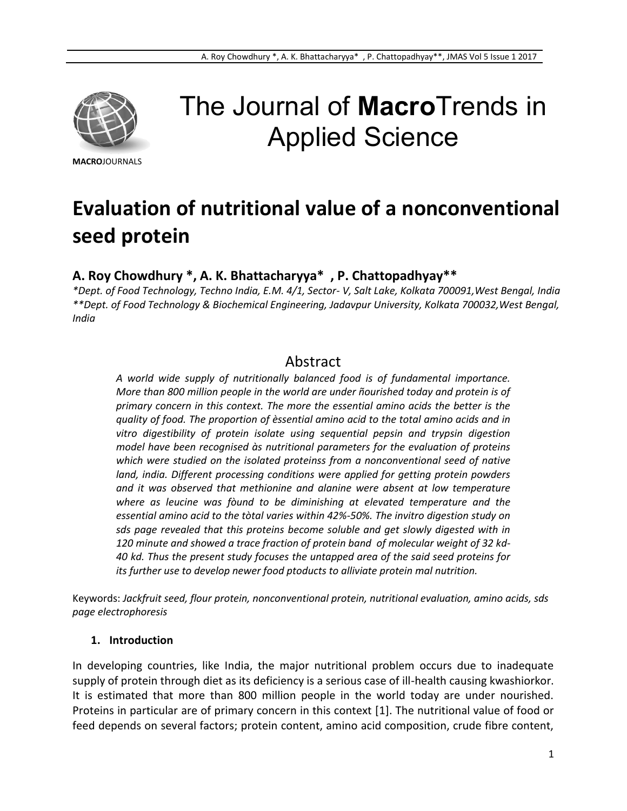

# The Journal of **Macro**Trends in Applied Science

**MACRO**JOURNALS

# **Evaluation of nutritional value of a nonconventional seed protein**

**A. Roy Chowdhury \*, A. K. Bhattacharyya\* , P. Chattopadhyay\*\***

*\*Dept. of Food Technology, Techno India, E.M. 4/1, Sector- V, Salt Lake, Kolkata 700091,West Bengal, India \*\*Dept. of Food Technology & Biochemical Engineering, Jadavpur University, Kolkata 700032,West Bengal, India*

# Abstract

*A world wide supply of nutritionally balanced food is of fundamental importance. More than 800 million people in the world are under ñourished today and protein is of primary concern in this context. The more the essential amino acids the better is the quality of food. The proportion of èssential amino acid to the total amino acids and in vitro digestibility of protein isolate using sequential pepsin and trypsin digestion model have been recognised às nutritional parameters for the evaluation of proteins which were studied on the isolated proteinss from a nonconventional seed of native land, india. Different processing conditions were applied for getting protein powders and it was observed that methionine and alanine were absent at low temperature where as leucine was fòund to be diminishing at elevated temperature and the essential amino acid to the tòtal varies within 42%-50%. The invitro digestion study on sds page revealed that this proteins become soluble and get slowly digested with in 120 minute and showed a trace fraction of protein band of molecular weight of 32 kd-40 kd. Thus the present study focuses the untapped area of the said seed proteins for its further use to develop newer food ptoducts to alliviate protein mal nutrition.*

Keywords: *Jackfruit seed, flour protein, nonconventional protein, nutritional evaluation, amino acids, sds page electrophoresis*

#### **1. Introduction**

In developing countries, like India, the major nutritional problem occurs due to inadequate supply of protein through diet as its deficiency is a serious case of ill-health causing kwashiorkor. It is estimated that more than 800 million people in the world today are under nourished. Proteins in particular are of primary concern in this context [1]. The nutritional value of food or feed depends on several factors; protein content, amino acid composition, crude fibre content,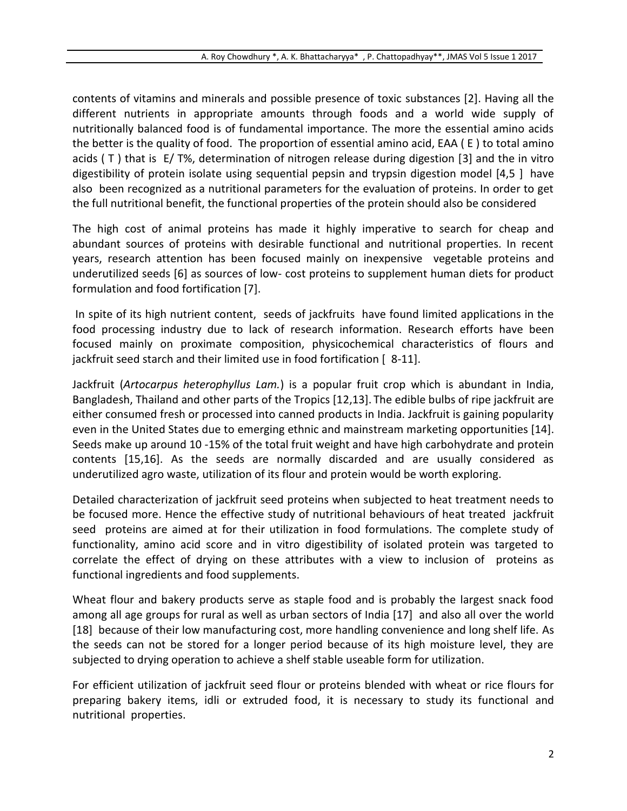contents of vitamins and minerals and possible presence of toxic substances [2]. Having all the different nutrients in appropriate amounts through foods and a world wide supply of nutritionally balanced food is of fundamental importance. The more the essential amino acids the better is the quality of food. The proportion of essential amino acid, EAA ( E ) to total amino acids ( T ) that is E/ T%, determination of nitrogen release during digestion [3] and the in vitro digestibility of protein isolate using sequential pepsin and trypsin digestion model [4,5 ] have also been recognized as a nutritional parameters for the evaluation of proteins. In order to get the full nutritional benefit, the functional properties of the protein should also be considered

The high cost of animal proteins has made it highly imperative to search for cheap and abundant sources of proteins with desirable functional and nutritional properties. In recent years, research attention has been focused mainly on inexpensive vegetable proteins and underutilized seeds [6] as sources of low- cost proteins to supplement human diets for product formulation and food fortification [7].

In spite of its high nutrient content, seeds of jackfruits have found limited applications in the food processing industry due to lack of research information. Research efforts have been focused mainly on proximate composition, physicochemical characteristics of flours and jackfruit seed starch and their limited use in food fortification [ 8-11].

Jackfruit (*Artocarpus heterophyllus Lam.*) is a popular fruit crop which is abundant in India, Bangladesh, Thailand and other parts of the Tropics [12,13]. The edible bulbs of ripe jackfruit are either consumed fresh or processed into canned products in India. Jackfruit is gaining popularity even in the United States due to emerging ethnic and mainstream marketing opportunities [14]. Seeds make up around 10 -15% of the total fruit weight and have high carbohydrate and protein contents [15,16]. As the seeds are normally discarded and are usually considered as underutilized agro waste, utilization of its flour and protein would be worth exploring.

Detailed characterization of jackfruit seed proteins when subjected to heat treatment needs to be focused more. Hence the effective study of nutritional behaviours of heat treated jackfruit seed proteins are aimed at for their utilization in food formulations. The complete study of functionality, amino acid score and in vitro digestibility of isolated protein was targeted to correlate the effect of drying on these attributes with a view to inclusion of proteins as functional ingredients and food supplements.

Wheat flour and bakery products serve as staple food and is probably the largest snack food among all age groups for rural as well as urban sectors of India [17] and also all over the world [18] because of their low manufacturing cost, more handling convenience and long shelf life. As the seeds can not be stored for a longer period because of its high moisture level, they are subjected to drying operation to achieve a shelf stable useable form for utilization.

For efficient utilization of jackfruit seed flour or proteins blended with wheat or rice flours for preparing bakery items, idli or extruded food, it is necessary to study its functional and nutritional properties.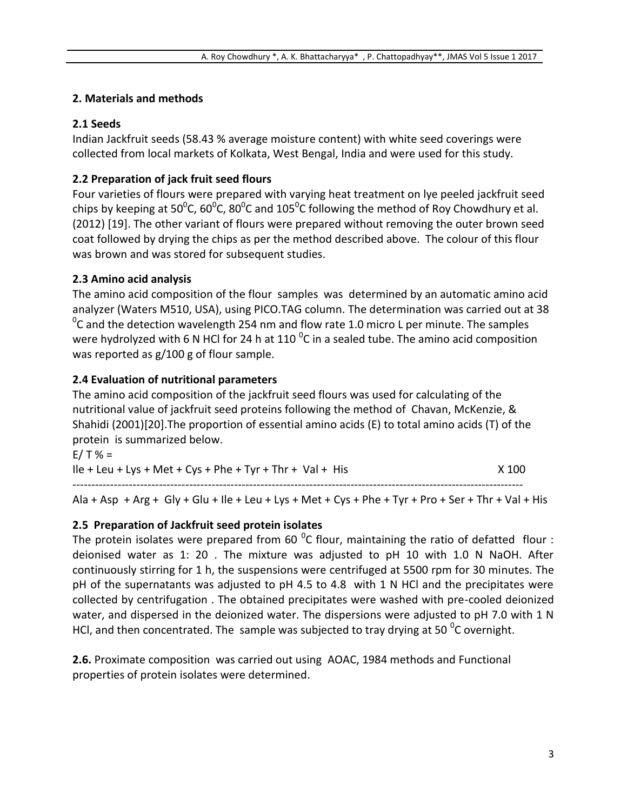#### **2. Materials and methods**

#### **2.1 Seeds**

Indian Jackfruit seeds (58.43 % average moisture content) with white seed coverings were collected from local markets of Kolkata, West Bengal, India and were used for this study.

# **2.2 Preparation of jack fruit seed flours**

Four varieties of flours were prepared with varying heat treatment on lye peeled jackfruit seed chips by keeping at 50<sup>o</sup>C, 60<sup>o</sup>C, 80<sup>o</sup>C and 105<sup>o</sup>C following the method of Roy Chowdhury et al. (2012) [19]. The other variant of flours were prepared without removing the outer brown seed coat followed by drying the chips as per the method described above. The colour of this flour was brown and was stored for subsequent studies.

# **2.3 Amino acid analysis**

The amino acid composition of the flour samples was determined by an automatic amino acid analyzer (Waters M510, USA), using PICO.TAG column. The determination was carried out at 38  $\rm ^{0}C$  and the detection wavelength 254 nm and flow rate 1.0 micro L per minute. The samples were hydrolyzed with 6 N HCl for 24 h at 110  $^0$ C in a sealed tube. The amino acid composition was reported as g/100 g of flour sample.

# **2.4 Evaluation of nutritional parameters**

The amino acid composition of the jackfruit seed flours was used for calculating of the nutritional value of jackfruit seed proteins following the method of Chavan, McKenzie, & Shahidi (2001)[20].The proportion of essential amino acids (E) to total amino acids (T) of the protein is summarized below.

 $E/T % =$  $\text{IIe} + \text{Leu} + \text{Lys} + \text{Met} + \text{Cys} + \text{Phe} + \text{Tyr} + \text{Thr} + \text{Val} + \text{His}$   $\times$  100 ------------------------------------------------------------------------------------------------------------------------

Ala + Asp + Arg + Gly + Glu + Ile + Leu + Lys + Met + Cys + Phe + Tyr + Pro + Ser + Thr + Val + His

# **2.5 Preparation of Jackfruit seed protein isolates**

The protein isolates were prepared from 60  $^0$ C flour, maintaining the ratio of defatted flour : deionised water as 1: 20 . The mixture was adjusted to pH 10 with 1.0 N NaOH. After continuously stirring for 1 h, the suspensions were centrifuged at 5500 rpm for 30 minutes. The pH of the supernatants was adjusted to pH 4.5 to 4.8 with 1 N HCl and the precipitates were collected by centrifugation . The obtained precipitates were washed with pre-cooled deionized water, and dispersed in the deionized water. The dispersions were adjusted to pH 7.0 with 1 N HCl, and then concentrated. The sample was subjected to tray drying at 50  $^{0}$ C overnight.

**2.6.** Proximate composition was carried out using AOAC, 1984 methods and Functional properties of protein isolates were determined.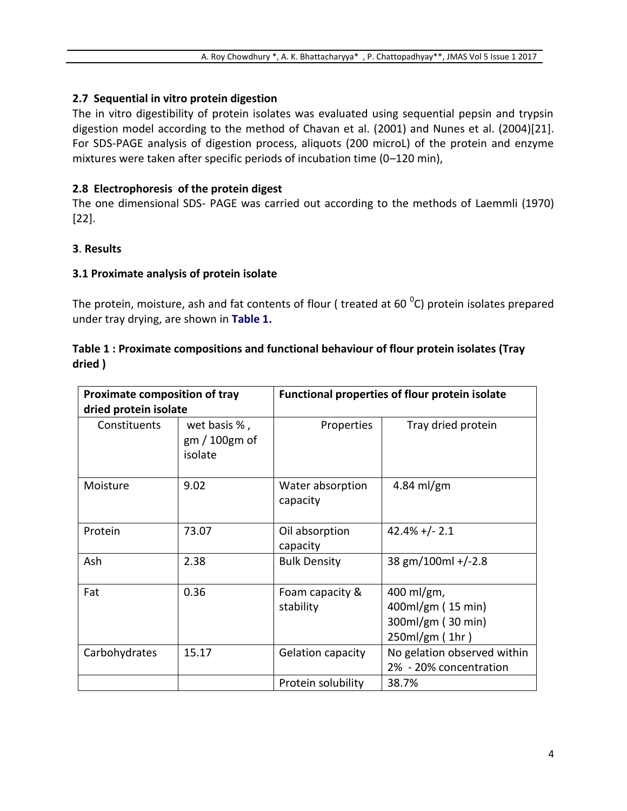#### **2.7****Sequential in vitro protein digestion**

The in vitro digestibility of protein isolates was evaluated using sequential pepsin and trypsin digestion model according to the method of Chavan et al. (2001) and Nunes et al. (2004)[21]. For SDS-PAGE analysis of digestion process, aliquots (200 microL) of the protein and enzyme mixtures were taken after specific periods of incubation time (0–120 min),

#### **2.8 Electrophoresis of the protein digest**

The one dimensional SDS- PAGE was carried out according to the methods of Laemmli (1970) [22].

#### **3**. **Results**

#### **3.1 Proximate analysis of protein isolate**

The protein, moisture, ash and fat contents of flour ( treated at 60  $^0$ C) protein isolates prepared under tray drying, are shown in **Table 1.**

#### **Table 1 : Proximate compositions and functional behaviour of flour protein isolates (Tray dried )**

| <b>Proximate composition of tray</b><br>dried protein isolate |                                        | <b>Functional properties of flour protein isolate</b> |                                                                         |  |
|---------------------------------------------------------------|----------------------------------------|-------------------------------------------------------|-------------------------------------------------------------------------|--|
| Constituents                                                  | wet basis %,<br>gm/100gm of<br>isolate | Properties                                            | Tray dried protein                                                      |  |
| Moisture                                                      | 9.02                                   | Water absorption<br>capacity                          | 4.84 ml/gm                                                              |  |
| Protein                                                       | 73.07                                  | Oil absorption<br>capacity                            | $42.4\% + (-2.1)$                                                       |  |
| Ash                                                           | 2.38                                   | <b>Bulk Density</b>                                   | 38 gm/100ml +/-2.8                                                      |  |
| Fat                                                           | 0.36                                   | Foam capacity &<br>stability                          | $400$ ml/gm,<br>400ml/gm (15 min)<br>300ml/gm (30 min)<br>250ml/gm(1hr) |  |
| Carbohydrates                                                 | 15.17                                  | Gelation capacity                                     | No gelation observed within<br>2% - 20% concentration                   |  |
|                                                               |                                        | Protein solubility                                    | 38.7%                                                                   |  |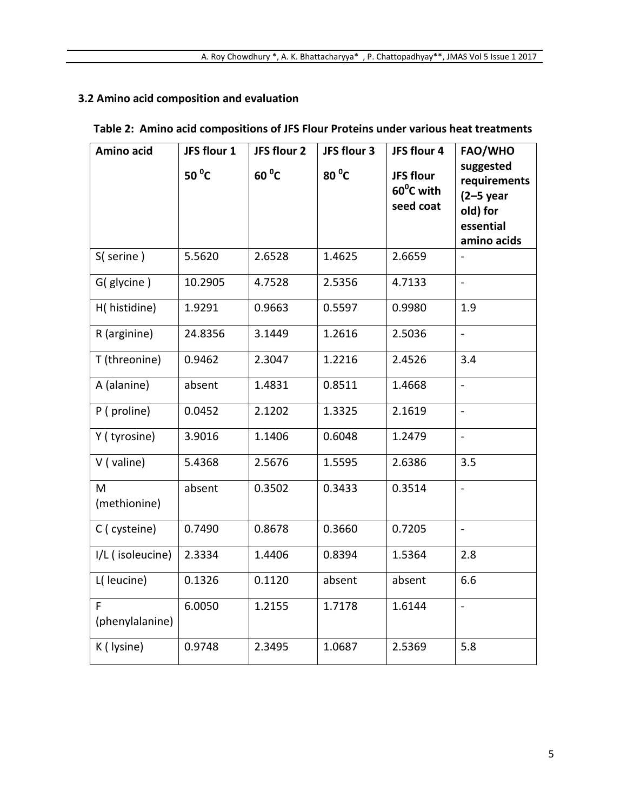# **3.2 Amino acid composition and evaluation**

|  | Table 2: Amino acid compositions of JFS Flour Proteins under various heat treatments |  |  |
|--|--------------------------------------------------------------------------------------|--|--|
|--|--------------------------------------------------------------------------------------|--|--|

| Amino acid           | JFS flour 1     | JFS flour 2    | JFS flour 3    | JFS flour 4                         | FAO/WHO                                                                          |
|----------------------|-----------------|----------------|----------------|-------------------------------------|----------------------------------------------------------------------------------|
|                      | 50 $^{\circ}$ C | $60^{\circ}$ C | $80^{\circ}$ C | JFS flour<br>60°C with<br>seed coat | suggested<br>requirements<br>$(2-5$ year<br>old) for<br>essential<br>amino acids |
| S(serine)            | 5.5620          | 2.6528         | 1.4625         | 2.6659                              |                                                                                  |
| G(glycine)           | 10.2905         | 4.7528         | 2.5356         | 4.7133                              | $\blacksquare$                                                                   |
| H(histidine)         | 1.9291          | 0.9663         | 0.5597         | 0.9980                              | 1.9                                                                              |
| R (arginine)         | 24.8356         | 3.1449         | 1.2616         | 2.5036                              | $\blacksquare$                                                                   |
| T (threonine)        | 0.9462          | 2.3047         | 1.2216         | 2.4526                              | 3.4                                                                              |
| A (alanine)          | absent          | 1.4831         | 0.8511         | 1.4668                              | $\overline{\phantom{0}}$                                                         |
| P (proline)          | 0.0452          | 2.1202         | 1.3325         | 2.1619                              | $\overline{a}$                                                                   |
| Y (tyrosine)         | 3.9016          | 1.1406         | 0.6048         | 1.2479                              | $\frac{1}{2}$                                                                    |
| $V$ (valine)         | 5.4368          | 2.5676         | 1.5595         | 2.6386                              | 3.5                                                                              |
| M<br>(methionine)    | absent          | 0.3502         | 0.3433         | 0.3514                              | $\overline{a}$                                                                   |
| C (cysteine)         | 0.7490          | 0.8678         | 0.3660         | 0.7205                              | $\frac{1}{2}$                                                                    |
| I/L (isoleucine)     | 2.3334          | 1.4406         | 0.8394         | 1.5364                              | 2.8                                                                              |
| L( leucine)          | 0.1326          | 0.1120         | absent         | absent                              | 6.6                                                                              |
| F<br>(phenylalanine) | 6.0050          | 1.2155         | 1.7178         | 1.6144                              | $\frac{1}{2}$                                                                    |
| K ( lysine)          | 0.9748          | 2.3495         | 1.0687         | 2.5369                              | 5.8                                                                              |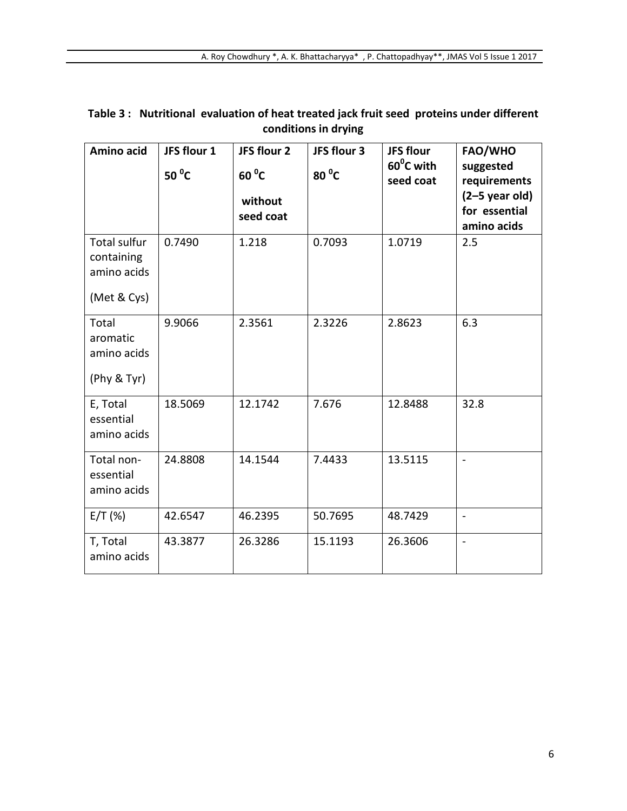| Amino acid                                                      | JFS flour 1<br>50 $\mathrm{^0C}$ | JFS flour 2<br>$60^{\circ}$ C<br>without<br>seed coat | JFS flour 3<br>80 °C | <b>JFS flour</b><br>60 <sup>o</sup> C with<br>seed coat | <b>FAO/WHO</b><br>suggested<br>requirements<br>$(2-5$ year old)<br>for essential<br>amino acids |
|-----------------------------------------------------------------|----------------------------------|-------------------------------------------------------|----------------------|---------------------------------------------------------|-------------------------------------------------------------------------------------------------|
| <b>Total sulfur</b><br>containing<br>amino acids<br>(Met & Cys) | 0.7490                           | 1.218                                                 | 0.7093               | 1.0719                                                  | 2.5                                                                                             |
| Total<br>aromatic<br>amino acids<br>(Phy & Tyr)                 | 9.9066                           | 2.3561                                                | 2.3226               | 2.8623                                                  | 6.3                                                                                             |
| E, Total<br>essential<br>amino acids                            | 18.5069                          | 12.1742                                               | 7.676                | 12.8488                                                 | 32.8                                                                                            |
| Total non-<br>essential<br>amino acids                          | 24.8808                          | 14.1544                                               | 7.4433               | 13.5115                                                 | $\blacksquare$                                                                                  |
| E/T(%)                                                          | 42.6547                          | 46.2395                                               | 50.7695              | 48.7429                                                 | $\blacksquare$                                                                                  |
| T, Total<br>amino acids                                         | 43.3877                          | 26.3286                                               | 15.1193              | 26.3606                                                 | $\overline{a}$                                                                                  |

**Table 3 : Nutritional evaluation of heat treated jack fruit seed proteins under different conditions in drying**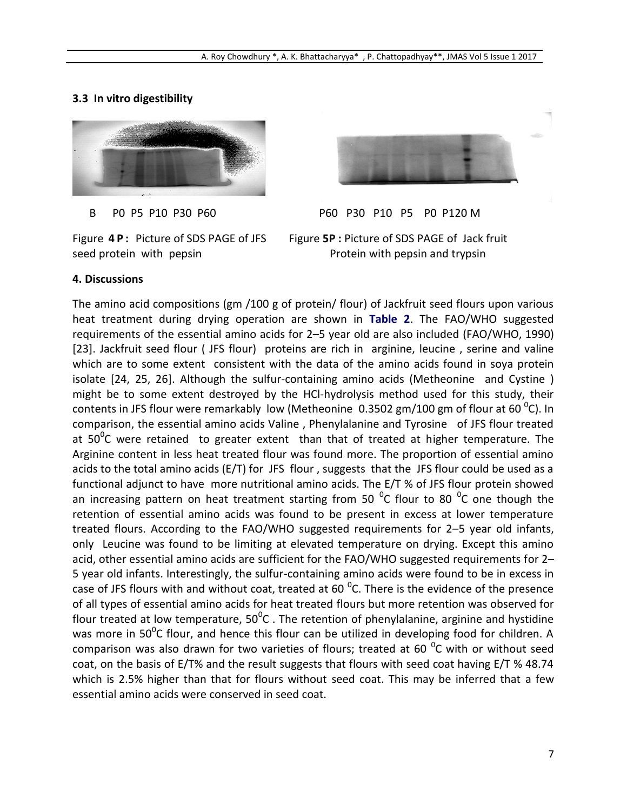#### **3.3 In vitro digestibility**



B P0 P5 P10 P30 P60 P60 P30 P10 P5 P0 P120 M

Figure **4 P :** Picture of SDS PAGE of JFS Figure **5P :** Picture of SDS PAGE of Jack fruit seed protein with pepsin **Exercise 2** Protein with pepsin and trypsin

#### **4. Discussions**

The amino acid compositions (gm /100 g of protein/ flour) of Jackfruit seed flours upon various heat treatment during drying operation are shown in **Table 2**. The FAO/WHO suggested requirements of the essential amino acids for 2–5 year old are also included (FAO/WHO, 1990) [23]. Jackfruit seed flour ( JFS flour) proteins are rich in arginine, leucine , serine and valine which are to some extent consistent with the data of the amino acids found in soya protein isolate [24, 25, 26]. Although the sulfur-containing amino acids (Metheonine and Cystine ) might be to some extent destroyed by the HCl-hydrolysis method used for this study, their contents in JFS flour were remarkably low (Metheonine  $0.3502$  gm/100 gm of flour at 60  $^0$ C). In comparison, the essential amino acids Valine , Phenylalanine and Tyrosine of JFS flour treated at 50 $\rm ^{0}C$  were retained to greater extent than that of treated at higher temperature. The Arginine content in less heat treated flour was found more. The proportion of essential amino acids to the total amino acids (E/T) for JFS flour , suggests that the JFS flour could be used as a functional adjunct to have more nutritional amino acids. The E/T % of JFS flour protein showed an increasing pattern on heat treatment starting from 50  $^0C$  flour to 80  $^0C$  one though the retention of essential amino acids was found to be present in excess at lower temperature treated flours. According to the FAO/WHO suggested requirements for 2–5 year old infants, only Leucine was found to be limiting at elevated temperature on drying. Except this amino acid, other essential amino acids are sufficient for the FAO/WHO suggested requirements for 2– 5 year old infants. Interestingly, the sulfur-containing amino acids were found to be in excess in case of JFS flours with and without coat, treated at 60  $^0$ C. There is the evidence of the presence of all types of essential amino acids for heat treated flours but more retention was observed for flour treated at low temperature,  $50^0$ C . The retention of phenylalanine, arginine and hystidine was more in 50<sup>0</sup>C flour, and hence this flour can be utilized in developing food for children. A comparison was also drawn for two varieties of flours; treated at 60  $^0$ C with or without seed coat, on the basis of E/T% and the result suggests that flours with seed coat having E/T % 48.74 which is 2.5% higher than that for flours without seed coat. This may be inferred that a few essential amino acids were conserved in seed coat.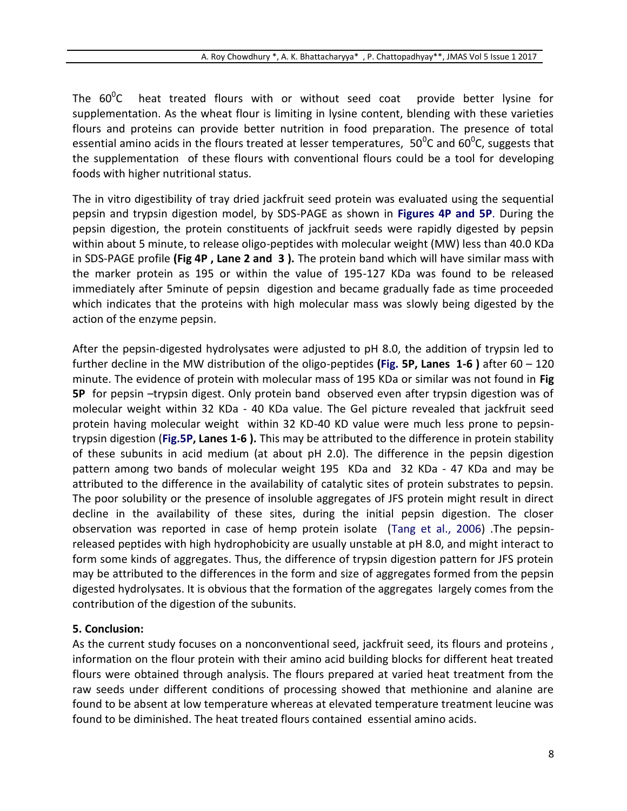The  $60^0C$ heat treated flours with or without seed coat provide better lysine for supplementation. As the wheat flour is limiting in lysine content, blending with these varieties flours and proteins can provide better nutrition in food preparation. The presence of total essential amino acids in the flours treated at lesser temperatures,  $50^0$ C and  $60^0$ C, suggests that the supplementation of these flours with conventional flours could be a tool for developing foods with higher nutritional status.

The in vitro digestibility of tray dried jackfruit seed protein was evaluated using the sequential pepsin and trypsin digestion model, by SDS-PAGE as shown in **Figures 4P and 5P**. During the pepsin digestion, the protein constituents of jackfruit seeds were rapidly digested by pepsin within about 5 minute, to release oligo-peptides with molecular weight (MW) less than 40.0 KDa in SDS-PAGE profile **(Fig 4P , Lane 2 and 3 ).** The protein band which will have similar mass with the marker protein as 195 or within the value of 195-127 KDa was found to be released immediately after 5minute of pepsin digestion and became gradually fade as time proceeded which indicates that the proteins with high molecular mass was slowly being digested by the action of the enzyme pepsin.

After the pepsin-digested hydrolysates were adjusted to pH 8.0, the addition of trypsin led to further decline in the MW distribution of the oligo-peptides **(Fig. 5P, Lanes 1-6 )** after 60 – 120 minute. The evidence of protein with molecular mass of 195 KDa or similar was not found in **Fig 5P** for pepsin –trypsin digest. Only protein band observed even after trypsin digestion was of molecular weight within 32 KDa - 40 KDa value. The Gel picture revealed that jackfruit seed protein having molecular weight within 32 KD-40 KD value were much less prone to pepsintrypsin digestion (**Fig.5P, Lanes 1-6 ).** This may be attributed to the difference in protein stability of these subunits in acid medium (at about pH 2.0). The difference in the pepsin digestion pattern among two bands of molecular weight 195 KDa and 32 KDa - 47 KDa and may be attributed to the difference in the availability of catalytic sites of protein substrates to pepsin. The poor solubility or the presence of insoluble aggregates of JFS protein might result in direct decline in the availability of these sites, during the initial pepsin digestion. The closer observation was reported in case of hemp protein isolate (Tang et al., 2006) .The pepsinreleased peptides with high hydrophobicity are usually unstable at pH 8.0, and might interact to form some kinds of aggregates. Thus, the difference of trypsin digestion pattern for JFS protein may be attributed to the differences in the form and size of aggregates formed from the pepsin digested hydrolysates. It is obvious that the formation of the aggregates largely comes from the contribution of the digestion of the subunits.

#### **5. Conclusion:**

As the current study focuses on a nonconventional seed, jackfruit seed, its flours and proteins , information on the flour protein with their amino acid building blocks for different heat treated flours were obtained through analysis. The flours prepared at varied heat treatment from the raw seeds under different conditions of processing showed that methionine and alanine are found to be absent at low temperature whereas at elevated temperature treatment leucine was found to be diminished. The heat treated flours contained essential amino acids.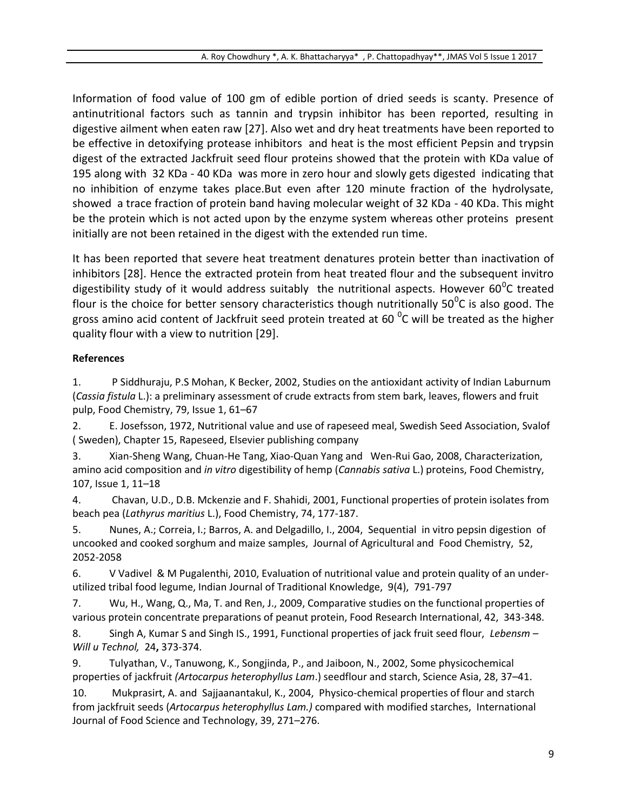Information of food value of 100 gm of edible portion of dried seeds is scanty. Presence of antinutritional factors such as tannin and trypsin inhibitor has been reported, resulting in digestive ailment when eaten raw [27]. Also wet and dry heat treatments have been reported to be effective in detoxifying protease inhibitors and heat is the most efficient Pepsin and trypsin digest of the extracted Jackfruit seed flour proteins showed that the protein with KDa value of 195 along with 32 KDa - 40 KDa was more in zero hour and slowly gets digested indicating that no inhibition of enzyme takes place.But even after 120 minute fraction of the hydrolysate, showed a trace fraction of protein band having molecular weight of 32 KDa - 40 KDa. This might be the protein which is not acted upon by the enzyme system whereas other proteins present initially are not been retained in the digest with the extended run time.

It has been reported that severe heat treatment denatures protein better than inactivation of inhibitors [28]. Hence the extracted protein from heat treated flour and the subsequent invitro digestibility study of it would address suitably the nutritional aspects. However 60 $^0$ C treated flour is the choice for better sensory characteristics though nutritionally 50<sup>0</sup>C is also good. The gross amino acid content of Jackfruit seed protein treated at 60  $^{\circ}$ C will be treated as the higher quality flour with a view to nutrition [29].

#### **References**

1. [P Siddhuraju, P.S Mohan, K Becker,](http://www.sciencedirect.com/science/article/pii/S0308814602001796) 2002, Studies on the antioxidant activity of Indian Laburnum (*Cassia fistula* L.): a preliminary assessment of crude extracts from stem bark, leaves, flowers and fruit pulp, [Food Chemistry,](http://www.sciencedirect.com/science/journal/03088146) [79, Issue 1,](http://www.sciencedirect.com/science/journal/03088146/79/1) 61–67

2. E. Josefsson, 1972, Nutritional value and use of rapeseed meal, Swedish Seed Association, Svalof ( Sweden), Chapter 15, Rapeseed, Elsevier publishing company

3. [Xian-Sheng Wang, Chuan-He Tang, Xiao-Quan Yang](http://www.sciencedirect.com/science/article/pii/S0308814607006358) and [Wen-Rui Gao,](http://www.sciencedirect.com/science/article/pii/S0308814607006358) 2008, Characterization, amino acid composition and *in vitro* digestibility of hemp (*Cannabis sativa* L.) proteins[, Food Chemistry,](http://www.sciencedirect.com/science/journal/03088146) [107, Issue 1,](http://www.sciencedirect.com/science/journal/03088146/107/1) 11–18

4. Chavan, U.D., D.B. Mckenzie and F. Shahidi, 2001, Functional properties of protein isolates from beach pea (*Lathyrus maritius* L.), Food Chemistry, 74, 177-187.

5. Nunes, A.; Correia, I.; Barros, A. and Delgadillo, I., 2004, Sequential in vitro pepsin digestion of uncooked and cooked sorghum and maize samples, Journal of Agricultural and Food Chemistry, 52, 2052-2058

6. V Vadivel & M Pugalenthi, 2010, Evaluation of nutritional value and protein quality of an underutilized tribal food legume, Indian Journal of Traditional Knowledge, 9(4), 791-797

7. Wu, H., Wang, Q., Ma, T. and Ren, J., 2009, Comparative studies on the functional properties of various protein concentrate preparations of peanut protein, Food Research International, 42, 343-348.

8. Singh A, Kumar S and Singh IS., 1991, Functional properties of jack fruit seed flour, *Lebensm – Will u Technol,* 24**,** 373-374.

9. Tulyathan, V., Tanuwong, K., Songjinda, P., and Jaiboon, N., 2002, Some physicochemical properties of jackfruit *(Artocarpus heterophyllus Lam*.) seedflour and starch, Science Asia, 28, 37–41.

10. Mukprasirt, A. and Sajjaanantakul, K., 2004, Physico-chemical properties of flour and starch from jackfruit seeds (*Artocarpus heterophyllus Lam.)* compared with modified starches, International Journal of Food Science and Technology, 39, 271–276.